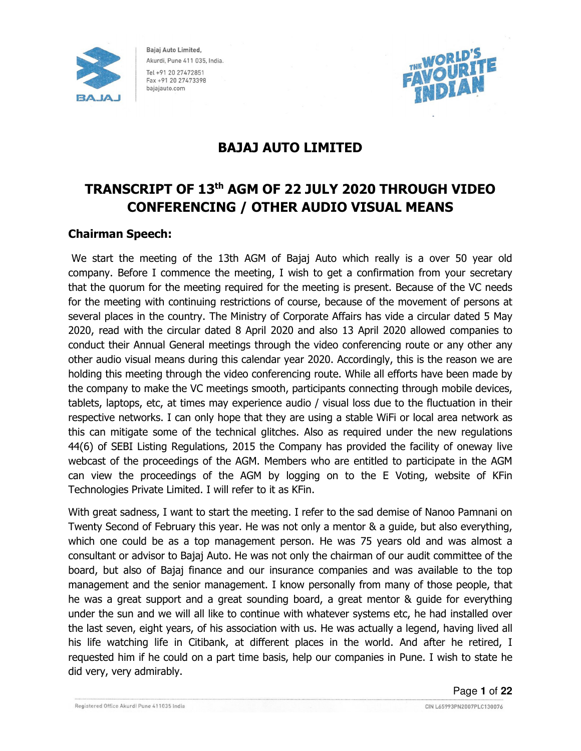



# BAJAJ AUTO LIMITED

# TRANSCRIPT OF 13th AGM OF 22 JULY 2020 THROUGH VIDEO CONFERENCING / OTHER AUDIO VISUAL MEANS

## Chairman Speech:

 We start the meeting of the 13th AGM of Bajaj Auto which really is a over 50 year old company. Before I commence the meeting, I wish to get a confirmation from your secretary that the quorum for the meeting required for the meeting is present. Because of the VC needs for the meeting with continuing restrictions of course, because of the movement of persons at several places in the country. The Ministry of Corporate Affairs has vide a circular dated 5 May 2020, read with the circular dated 8 April 2020 and also 13 April 2020 allowed companies to conduct their Annual General meetings through the video conferencing route or any other any other audio visual means during this calendar year 2020. Accordingly, this is the reason we are holding this meeting through the video conferencing route. While all efforts have been made by the company to make the VC meetings smooth, participants connecting through mobile devices, tablets, laptops, etc, at times may experience audio / visual loss due to the fluctuation in their respective networks. I can only hope that they are using a stable WiFi or local area network as this can mitigate some of the technical glitches. Also as required under the new regulations 44(6) of SEBI Listing Regulations, 2015 the Company has provided the facility of oneway live webcast of the proceedings of the AGM. Members who are entitled to participate in the AGM can view the proceedings of the AGM by logging on to the E Voting, website of KFin Technologies Private Limited. I will refer to it as KFin.

With great sadness, I want to start the meeting. I refer to the sad demise of Nanoo Pamnani on Twenty Second of February this year. He was not only a mentor & a guide, but also everything, which one could be as a top management person. He was 75 years old and was almost a consultant or advisor to Bajaj Auto. He was not only the chairman of our audit committee of the board, but also of Bajaj finance and our insurance companies and was available to the top management and the senior management. I know personally from many of those people, that he was a great support and a great sounding board, a great mentor & guide for everything under the sun and we will all like to continue with whatever systems etc, he had installed over the last seven, eight years, of his association with us. He was actually a legend, having lived all his life watching life in Citibank, at different places in the world. And after he retired, I requested him if he could on a part time basis, help our companies in Pune. I wish to state he did very, very admirably.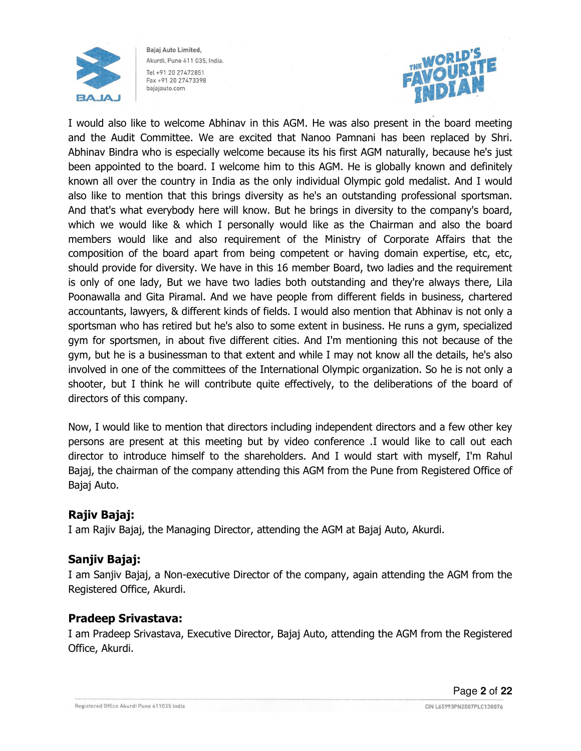



I would also like to welcome Abhinav in this AGM. He was also present in the board meeting and the Audit Committee. We are excited that Nanoo Pamnani has been replaced by Shri. Abhinav Bindra who is especially welcome because its his first AGM naturally, because he's just been appointed to the board. I welcome him to this AGM. He is globally known and definitely known all over the country in India as the only individual Olympic gold medalist. And I would also like to mention that this brings diversity as he's an outstanding professional sportsman. And that's what everybody here will know. But he brings in diversity to the company's board, which we would like & which I personally would like as the Chairman and also the board members would like and also requirement of the Ministry of Corporate Affairs that the composition of the board apart from being competent or having domain expertise, etc, etc, should provide for diversity. We have in this 16 member Board, two ladies and the requirement is only of one lady, But we have two ladies both outstanding and they're always there, Lila Poonawalla and Gita Piramal. And we have people from different fields in business, chartered accountants, lawyers, & different kinds of fields. I would also mention that Abhinav is not only a sportsman who has retired but he's also to some extent in business. He runs a gym, specialized gym for sportsmen, in about five different cities. And I'm mentioning this not because of the gym, but he is a businessman to that extent and while I may not know all the details, he's also involved in one of the committees of the International Olympic organization. So he is not only a shooter, but I think he will contribute quite effectively, to the deliberations of the board of directors of this company.

Now, I would like to mention that directors including independent directors and a few other key persons are present at this meeting but by video conference .I would like to call out each director to introduce himself to the shareholders. And I would start with myself, I'm Rahul Bajaj, the chairman of the company attending this AGM from the Pune from Registered Office of Bajaj Auto.

## Rajiv Bajaj:

I am Rajiv Bajaj, the Managing Director, attending the AGM at Bajaj Auto, Akurdi.

## Sanjiv Bajaj:

I am Sanjiv Bajaj, a Non-executive Director of the company, again attending the AGM from the Registered Office, Akurdi.

## Pradeep Srivastava:

I am Pradeep Srivastava, Executive Director, Bajaj Auto, attending the AGM from the Registered Office, Akurdi.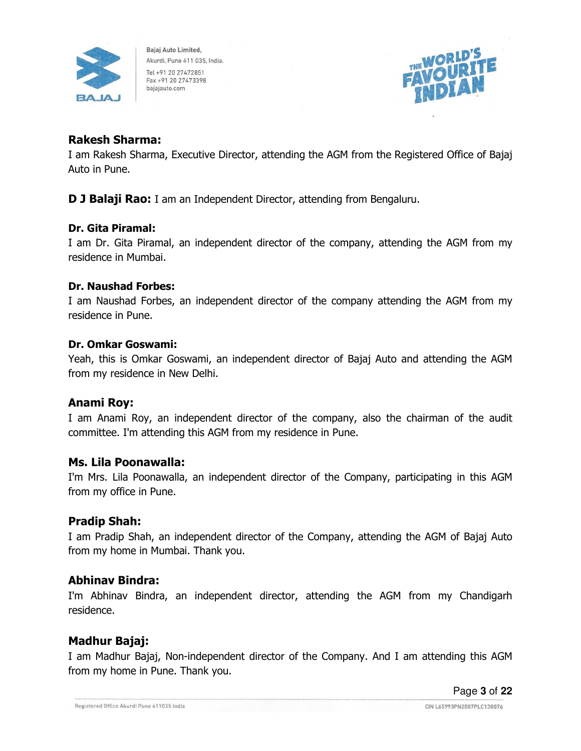



## Rakesh Sharma:

I am Rakesh Sharma, Executive Director, attending the AGM from the Registered Office of Bajaj Auto in Pune.

**D J Balaji Rao:** I am an Independent Director, attending from Bengaluru.

#### Dr. Gita Piramal:

I am Dr. Gita Piramal, an independent director of the company, attending the AGM from my residence in Mumbai.

#### Dr. Naushad Forbes:

I am Naushad Forbes, an independent director of the company attending the AGM from my residence in Pune.

#### Dr. Omkar Goswami:

Yeah, this is Omkar Goswami, an independent director of Bajaj Auto and attending the AGM from my residence in New Delhi.

## Anami Roy:

I am Anami Roy, an independent director of the company, also the chairman of the audit committee. I'm attending this AGM from my residence in Pune.

#### Ms. Lila Poonawalla:

I'm Mrs. Lila Poonawalla, an independent director of the Company, participating in this AGM from my office in Pune.

## Pradip Shah:

I am Pradip Shah, an independent director of the Company, attending the AGM of Bajaj Auto from my home in Mumbai. Thank you.

## Abhinav Bindra:

I'm Abhinav Bindra, an independent director, attending the AGM from my Chandigarh residence.

## Madhur Bajaj:

I am Madhur Bajaj, Non-independent director of the Company. And I am attending this AGM from my home in Pune. Thank you.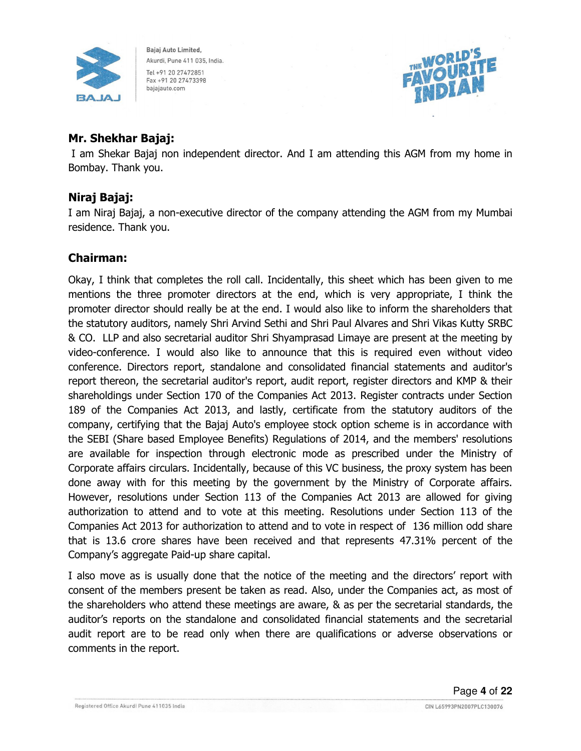



## Mr. Shekhar Bajaj:

 I am Shekar Bajaj non independent director. And I am attending this AGM from my home in Bombay. Thank you.

## Niraj Bajaj:

I am Niraj Bajaj, a non-executive director of the company attending the AGM from my Mumbai residence. Thank you.

## Chairman:

Okay, I think that completes the roll call. Incidentally, this sheet which has been given to me mentions the three promoter directors at the end, which is very appropriate, I think the promoter director should really be at the end. I would also like to inform the shareholders that the statutory auditors, namely Shri Arvind Sethi and Shri Paul Alvares and Shri Vikas Kutty SRBC & CO. LLP and also secretarial auditor Shri Shyamprasad Limaye are present at the meeting by video-conference. I would also like to announce that this is required even without video conference. Directors report, standalone and consolidated financial statements and auditor's report thereon, the secretarial auditor's report, audit report, register directors and KMP & their shareholdings under Section 170 of the Companies Act 2013. Register contracts under Section 189 of the Companies Act 2013, and lastly, certificate from the statutory auditors of the company, certifying that the Bajaj Auto's employee stock option scheme is in accordance with the SEBI (Share based Employee Benefits) Regulations of 2014, and the members' resolutions are available for inspection through electronic mode as prescribed under the Ministry of Corporate affairs circulars. Incidentally, because of this VC business, the proxy system has been done away with for this meeting by the government by the Ministry of Corporate affairs. However, resolutions under Section 113 of the Companies Act 2013 are allowed for giving authorization to attend and to vote at this meeting. Resolutions under Section 113 of the Companies Act 2013 for authorization to attend and to vote in respect of 136 million odd share that is 13.6 crore shares have been received and that represents 47.31% percent of the Company's aggregate Paid-up share capital.

I also move as is usually done that the notice of the meeting and the directors' report with consent of the members present be taken as read. Also, under the Companies act, as most of the shareholders who attend these meetings are aware, & as per the secretarial standards, the auditor's reports on the standalone and consolidated financial statements and the secretarial audit report are to be read only when there are qualifications or adverse observations or comments in the report.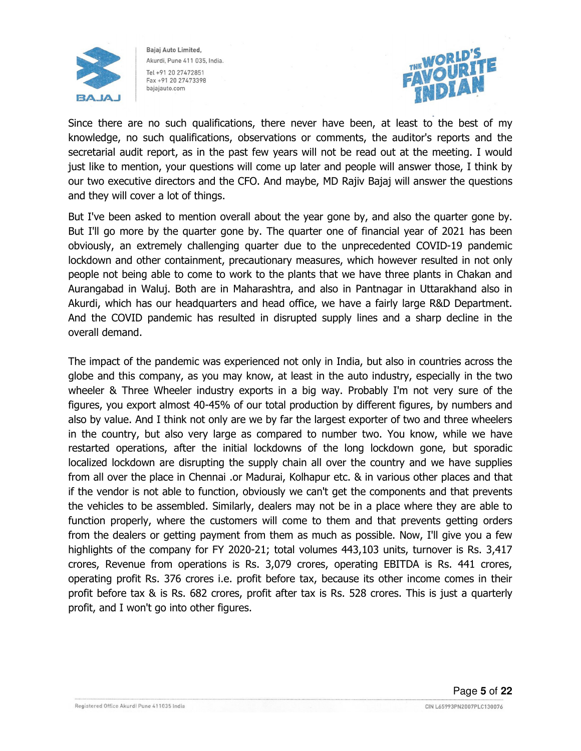



Since there are no such qualifications, there never have been, at least to the best of my knowledge, no such qualifications, observations or comments, the auditor's reports and the secretarial audit report, as in the past few years will not be read out at the meeting. I would just like to mention, your questions will come up later and people will answer those, I think by our two executive directors and the CFO. And maybe, MD Rajiv Bajaj will answer the questions and they will cover a lot of things.

But I've been asked to mention overall about the year gone by, and also the quarter gone by. But I'll go more by the quarter gone by. The quarter one of financial year of 2021 has been obviously, an extremely challenging quarter due to the unprecedented COVID-19 pandemic lockdown and other containment, precautionary measures, which however resulted in not only people not being able to come to work to the plants that we have three plants in Chakan and Aurangabad in Waluj. Both are in Maharashtra, and also in Pantnagar in Uttarakhand also in Akurdi, which has our headquarters and head office, we have a fairly large R&D Department. And the COVID pandemic has resulted in disrupted supply lines and a sharp decline in the overall demand.

The impact of the pandemic was experienced not only in India, but also in countries across the globe and this company, as you may know, at least in the auto industry, especially in the two wheeler & Three Wheeler industry exports in a big way. Probably I'm not very sure of the figures, you export almost 40-45% of our total production by different figures, by numbers and also by value. And I think not only are we by far the largest exporter of two and three wheelers in the country, but also very large as compared to number two. You know, while we have restarted operations, after the initial lockdowns of the long lockdown gone, but sporadic localized lockdown are disrupting the supply chain all over the country and we have supplies from all over the place in Chennai .or Madurai, Kolhapur etc. & in various other places and that if the vendor is not able to function, obviously we can't get the components and that prevents the vehicles to be assembled. Similarly, dealers may not be in a place where they are able to function properly, where the customers will come to them and that prevents getting orders from the dealers or getting payment from them as much as possible. Now, I'll give you a few highlights of the company for FY 2020-21; total volumes 443,103 units, turnover is Rs. 3,417 crores, Revenue from operations is Rs. 3,079 crores, operating EBITDA is Rs. 441 crores, operating profit Rs. 376 crores i.e. profit before tax, because its other income comes in their profit before tax & is Rs. 682 crores, profit after tax is Rs. 528 crores. This is just a quarterly profit, and I won't go into other figures.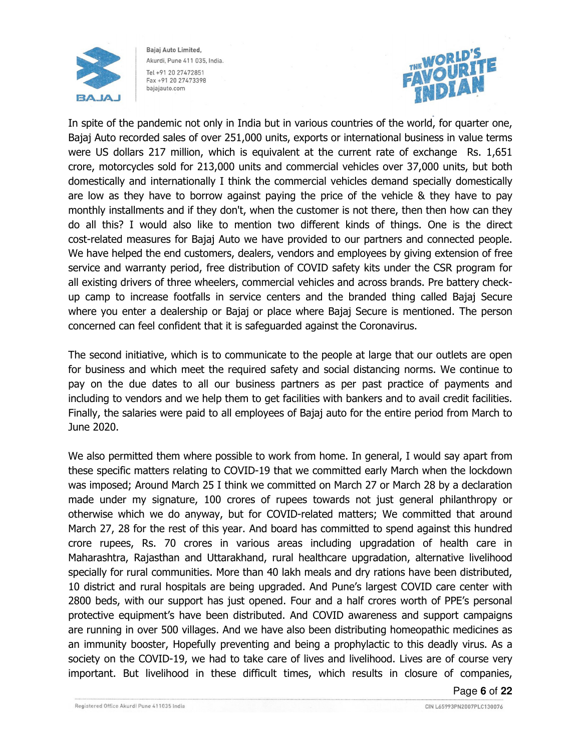



In spite of the pandemic not only in India but in various countries of the world, for quarter one, Bajaj Auto recorded sales of over 251,000 units, exports or international business in value terms were US dollars 217 million, which is equivalent at the current rate of exchange Rs. 1,651 crore, motorcycles sold for 213,000 units and commercial vehicles over 37,000 units, but both domestically and internationally I think the commercial vehicles demand specially domestically are low as they have to borrow against paying the price of the vehicle & they have to pay monthly installments and if they don't, when the customer is not there, then then how can they do all this? I would also like to mention two different kinds of things. One is the direct cost-related measures for Bajaj Auto we have provided to our partners and connected people. We have helped the end customers, dealers, vendors and employees by giving extension of free service and warranty period, free distribution of COVID safety kits under the CSR program for all existing drivers of three wheelers, commercial vehicles and across brands. Pre battery checkup camp to increase footfalls in service centers and the branded thing called Bajaj Secure where you enter a dealership or Bajaj or place where Bajaj Secure is mentioned. The person concerned can feel confident that it is safeguarded against the Coronavirus.

The second initiative, which is to communicate to the people at large that our outlets are open for business and which meet the required safety and social distancing norms. We continue to pay on the due dates to all our business partners as per past practice of payments and including to vendors and we help them to get facilities with bankers and to avail credit facilities. Finally, the salaries were paid to all employees of Bajaj auto for the entire period from March to June 2020.

We also permitted them where possible to work from home. In general, I would say apart from these specific matters relating to COVID-19 that we committed early March when the lockdown was imposed; Around March 25 I think we committed on March 27 or March 28 by a declaration made under my signature, 100 crores of rupees towards not just general philanthropy or otherwise which we do anyway, but for COVID-related matters; We committed that around March 27, 28 for the rest of this year. And board has committed to spend against this hundred crore rupees, Rs. 70 crores in various areas including upgradation of health care in Maharashtra, Rajasthan and Uttarakhand, rural healthcare upgradation, alternative livelihood specially for rural communities. More than 40 lakh meals and dry rations have been distributed, 10 district and rural hospitals are being upgraded. And Pune's largest COVID care center with 2800 beds, with our support has just opened. Four and a half crores worth of PPE's personal protective equipment's have been distributed. And COVID awareness and support campaigns are running in over 500 villages. And we have also been distributing homeopathic medicines as an immunity booster, Hopefully preventing and being a prophylactic to this deadly virus. As a society on the COVID-19, we had to take care of lives and livelihood. Lives are of course very important. But livelihood in these difficult times, which results in closure of companies,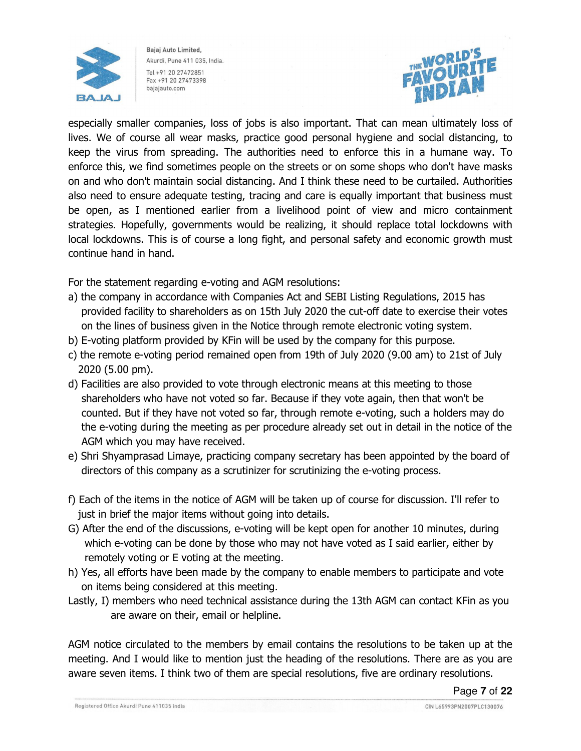



especially smaller companies, loss of jobs is also important. That can mean ultimately loss of lives. We of course all wear masks, practice good personal hygiene and social distancing, to keep the virus from spreading. The authorities need to enforce this in a humane way. To enforce this, we find sometimes people on the streets or on some shops who don't have masks on and who don't maintain social distancing. And I think these need to be curtailed. Authorities also need to ensure adequate testing, tracing and care is equally important that business must be open, as I mentioned earlier from a livelihood point of view and micro containment strategies. Hopefully, governments would be realizing, it should replace total lockdowns with local lockdowns. This is of course a long fight, and personal safety and economic growth must continue hand in hand.

For the statement regarding e-voting and AGM resolutions:

- a) the company in accordance with Companies Act and SEBI Listing Regulations, 2015 has provided facility to shareholders as on 15th July 2020 the cut-off date to exercise their votes on the lines of business given in the Notice through remote electronic voting system.
- b) E-voting platform provided by KFin will be used by the company for this purpose.
- c) the remote e-voting period remained open from 19th of July 2020 (9.00 am) to 21st of July 2020 (5.00 pm).
- d) Facilities are also provided to vote through electronic means at this meeting to those shareholders who have not voted so far. Because if they vote again, then that won't be counted. But if they have not voted so far, through remote e-voting, such a holders may do the e-voting during the meeting as per procedure already set out in detail in the notice of the AGM which you may have received.
- e) Shri Shyamprasad Limaye, practicing company secretary has been appointed by the board of directors of this company as a scrutinizer for scrutinizing the e-voting process.
- f) Each of the items in the notice of AGM will be taken up of course for discussion. I'll refer to just in brief the major items without going into details.
- G) After the end of the discussions, e-voting will be kept open for another 10 minutes, during which e-voting can be done by those who may not have voted as I said earlier, either by remotely voting or E voting at the meeting.
- h) Yes, all efforts have been made by the company to enable members to participate and vote on items being considered at this meeting.
- Lastly, I) members who need technical assistance during the 13th AGM can contact KFin as you are aware on their, email or helpline.

AGM notice circulated to the members by email contains the resolutions to be taken up at the meeting. And I would like to mention just the heading of the resolutions. There are as you are aware seven items. I think two of them are special resolutions, five are ordinary resolutions.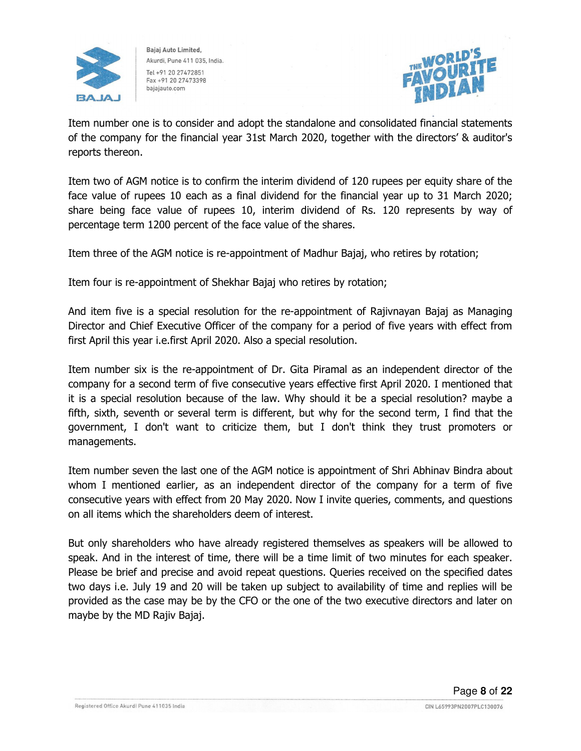



Item number one is to consider and adopt the standalone and consolidated financial statements of the company for the financial year 31st March 2020, together with the directors' & auditor's reports thereon.

Item two of AGM notice is to confirm the interim dividend of 120 rupees per equity share of the face value of rupees 10 each as a final dividend for the financial year up to 31 March 2020; share being face value of rupees 10, interim dividend of Rs. 120 represents by way of percentage term 1200 percent of the face value of the shares.

Item three of the AGM notice is re-appointment of Madhur Bajaj, who retires by rotation;

Item four is re-appointment of Shekhar Bajaj who retires by rotation;

And item five is a special resolution for the re-appointment of Rajivnayan Bajaj as Managing Director and Chief Executive Officer of the company for a period of five years with effect from first April this year i.e.first April 2020. Also a special resolution.

Item number six is the re-appointment of Dr. Gita Piramal as an independent director of the company for a second term of five consecutive years effective first April 2020. I mentioned that it is a special resolution because of the law. Why should it be a special resolution? maybe a fifth, sixth, seventh or several term is different, but why for the second term, I find that the government, I don't want to criticize them, but I don't think they trust promoters or managements.

Item number seven the last one of the AGM notice is appointment of Shri Abhinav Bindra about whom I mentioned earlier, as an independent director of the company for a term of five consecutive years with effect from 20 May 2020. Now I invite queries, comments, and questions on all items which the shareholders deem of interest.

But only shareholders who have already registered themselves as speakers will be allowed to speak. And in the interest of time, there will be a time limit of two minutes for each speaker. Please be brief and precise and avoid repeat questions. Queries received on the specified dates two days i.e. July 19 and 20 will be taken up subject to availability of time and replies will be provided as the case may be by the CFO or the one of the two executive directors and later on maybe by the MD Rajiv Bajaj.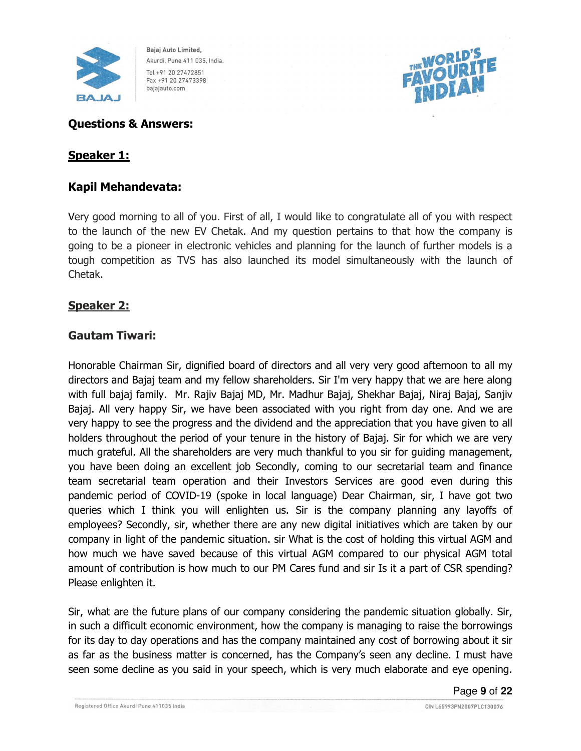



## Questions & Answers:

## Speaker 1:

### Kapil Mehandevata:

Very good morning to all of you. First of all, I would like to congratulate all of you with respect to the launch of the new EV Chetak. And my question pertains to that how the company is going to be a pioneer in electronic vehicles and planning for the launch of further models is a tough competition as TVS has also launched its model simultaneously with the launch of Chetak.

### Speaker 2:

### Gautam Tiwari:

Honorable Chairman Sir, dignified board of directors and all very very good afternoon to all my directors and Bajaj team and my fellow shareholders. Sir I'm very happy that we are here along with full bajaj family. Mr. Rajiv Bajaj MD, Mr. Madhur Bajaj, Shekhar Bajaj, Niraj Bajaj, Sanjiv Bajaj. All very happy Sir, we have been associated with you right from day one. And we are very happy to see the progress and the dividend and the appreciation that you have given to all holders throughout the period of your tenure in the history of Bajaj. Sir for which we are very much grateful. All the shareholders are very much thankful to you sir for guiding management, you have been doing an excellent job Secondly, coming to our secretarial team and finance team secretarial team operation and their Investors Services are good even during this pandemic period of COVID-19 (spoke in local language) Dear Chairman, sir, I have got two queries which I think you will enlighten us. Sir is the company planning any layoffs of employees? Secondly, sir, whether there are any new digital initiatives which are taken by our company in light of the pandemic situation. sir What is the cost of holding this virtual AGM and how much we have saved because of this virtual AGM compared to our physical AGM total amount of contribution is how much to our PM Cares fund and sir Is it a part of CSR spending? Please enlighten it.

Sir, what are the future plans of our company considering the pandemic situation globally. Sir, in such a difficult economic environment, how the company is managing to raise the borrowings for its day to day operations and has the company maintained any cost of borrowing about it sir as far as the business matter is concerned, has the Company's seen any decline. I must have seen some decline as you said in your speech, which is very much elaborate and eye opening.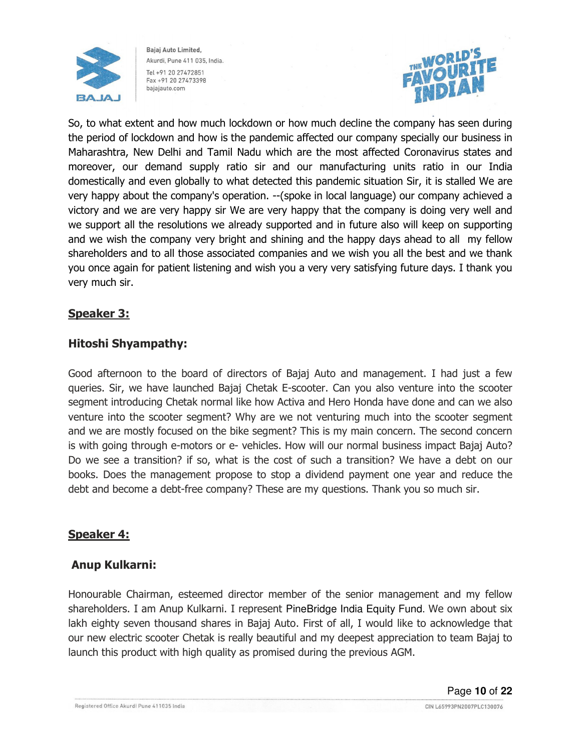



So, to what extent and how much lockdown or how much decline the company has seen during the period of lockdown and how is the pandemic affected our company specially our business in Maharashtra, New Delhi and Tamil Nadu which are the most affected Coronavirus states and moreover, our demand supply ratio sir and our manufacturing units ratio in our India domestically and even globally to what detected this pandemic situation Sir, it is stalled We are very happy about the company's operation. --(spoke in local language) our company achieved a victory and we are very happy sir We are very happy that the company is doing very well and we support all the resolutions we already supported and in future also will keep on supporting and we wish the company very bright and shining and the happy days ahead to all my fellow shareholders and to all those associated companies and we wish you all the best and we thank you once again for patient listening and wish you a very very satisfying future days. I thank you very much sir.

## Speaker 3:

### Hitoshi Shyampathy:

Good afternoon to the board of directors of Bajaj Auto and management. I had just a few queries. Sir, we have launched Bajaj Chetak E-scooter. Can you also venture into the scooter segment introducing Chetak normal like how Activa and Hero Honda have done and can we also venture into the scooter segment? Why are we not venturing much into the scooter segment and we are mostly focused on the bike segment? This is my main concern. The second concern is with going through e-motors or e- vehicles. How will our normal business impact Bajaj Auto? Do we see a transition? if so, what is the cost of such a transition? We have a debt on our books. Does the management propose to stop a dividend payment one year and reduce the debt and become a debt-free company? These are my questions. Thank you so much sir.

#### Speaker 4:

#### Anup Kulkarni:

Honourable Chairman, esteemed director member of the senior management and my fellow shareholders. I am Anup Kulkarni. I represent PineBridge India Equity Fund. We own about six lakh eighty seven thousand shares in Bajaj Auto. First of all, I would like to acknowledge that our new electric scooter Chetak is really beautiful and my deepest appreciation to team Bajaj to launch this product with high quality as promised during the previous AGM.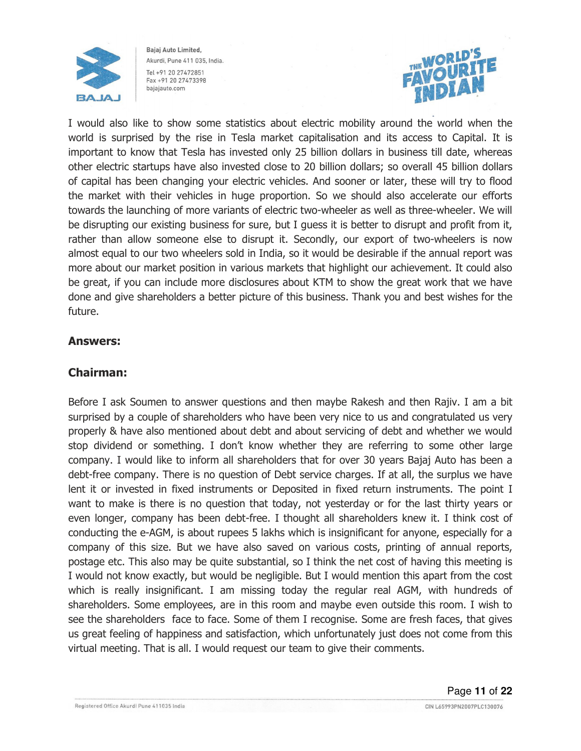



I would also like to show some statistics about electric mobility around the world when the world is surprised by the rise in Tesla market capitalisation and its access to Capital. It is important to know that Tesla has invested only 25 billion dollars in business till date, whereas other electric startups have also invested close to 20 billion dollars; so overall 45 billion dollars of capital has been changing your electric vehicles. And sooner or later, these will try to flood the market with their vehicles in huge proportion. So we should also accelerate our efforts towards the launching of more variants of electric two-wheeler as well as three-wheeler. We will be disrupting our existing business for sure, but I guess it is better to disrupt and profit from it, rather than allow someone else to disrupt it. Secondly, our export of two-wheelers is now almost equal to our two wheelers sold in India, so it would be desirable if the annual report was more about our market position in various markets that highlight our achievement. It could also be great, if you can include more disclosures about KTM to show the great work that we have done and give shareholders a better picture of this business. Thank you and best wishes for the future.

#### Answers:

## Chairman:

Before I ask Soumen to answer questions and then maybe Rakesh and then Rajiv. I am a bit surprised by a couple of shareholders who have been very nice to us and congratulated us very properly & have also mentioned about debt and about servicing of debt and whether we would stop dividend or something. I don't know whether they are referring to some other large company. I would like to inform all shareholders that for over 30 years Bajaj Auto has been a debt-free company. There is no question of Debt service charges. If at all, the surplus we have lent it or invested in fixed instruments or Deposited in fixed return instruments. The point I want to make is there is no question that today, not yesterday or for the last thirty years or even longer, company has been debt-free. I thought all shareholders knew it. I think cost of conducting the e-AGM, is about rupees 5 lakhs which is insignificant for anyone, especially for a company of this size. But we have also saved on various costs, printing of annual reports, postage etc. This also may be quite substantial, so I think the net cost of having this meeting is I would not know exactly, but would be negligible. But I would mention this apart from the cost which is really insignificant. I am missing today the regular real AGM, with hundreds of shareholders. Some employees, are in this room and maybe even outside this room. I wish to see the shareholders face to face. Some of them I recognise. Some are fresh faces, that gives us great feeling of happiness and satisfaction, which unfortunately just does not come from this virtual meeting. That is all. I would request our team to give their comments.

CIN L65993PN2007PLC130076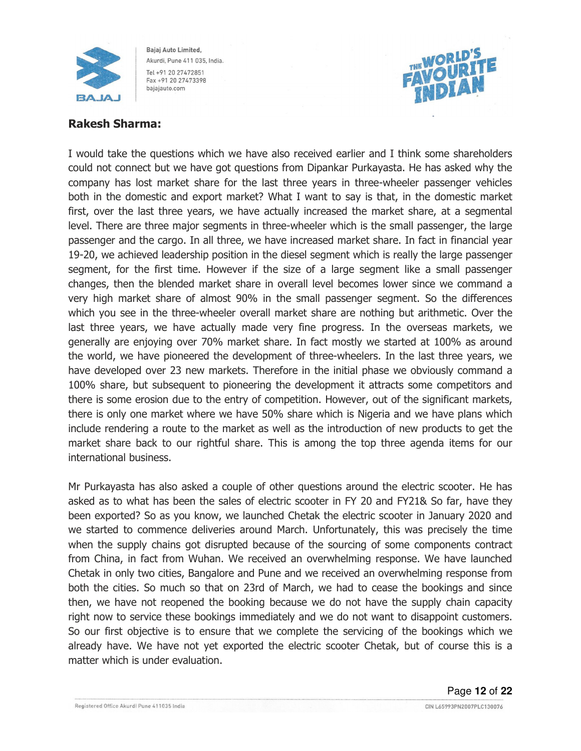



## Rakesh Sharma:

I would take the questions which we have also received earlier and I think some shareholders could not connect but we have got questions from Dipankar Purkayasta. He has asked why the company has lost market share for the last three years in three-wheeler passenger vehicles both in the domestic and export market? What I want to say is that, in the domestic market first, over the last three years, we have actually increased the market share, at a segmental level. There are three major segments in three-wheeler which is the small passenger, the large passenger and the cargo. In all three, we have increased market share. In fact in financial year 19-20, we achieved leadership position in the diesel segment which is really the large passenger segment, for the first time. However if the size of a large segment like a small passenger changes, then the blended market share in overall level becomes lower since we command a very high market share of almost 90% in the small passenger segment. So the differences which you see in the three-wheeler overall market share are nothing but arithmetic. Over the last three years, we have actually made very fine progress. In the overseas markets, we generally are enjoying over 70% market share. In fact mostly we started at 100% as around the world, we have pioneered the development of three-wheelers. In the last three years, we have developed over 23 new markets. Therefore in the initial phase we obviously command a 100% share, but subsequent to pioneering the development it attracts some competitors and there is some erosion due to the entry of competition. However, out of the significant markets, there is only one market where we have 50% share which is Nigeria and we have plans which include rendering a route to the market as well as the introduction of new products to get the market share back to our rightful share. This is among the top three agenda items for our international business.

Mr Purkayasta has also asked a couple of other questions around the electric scooter. He has asked as to what has been the sales of electric scooter in FY 20 and FY21& So far, have they been exported? So as you know, we launched Chetak the electric scooter in January 2020 and we started to commence deliveries around March. Unfortunately, this was precisely the time when the supply chains got disrupted because of the sourcing of some components contract from China, in fact from Wuhan. We received an overwhelming response. We have launched Chetak in only two cities, Bangalore and Pune and we received an overwhelming response from both the cities. So much so that on 23rd of March, we had to cease the bookings and since then, we have not reopened the booking because we do not have the supply chain capacity right now to service these bookings immediately and we do not want to disappoint customers. So our first objective is to ensure that we complete the servicing of the bookings which we already have. We have not yet exported the electric scooter Chetak, but of course this is a matter which is under evaluation.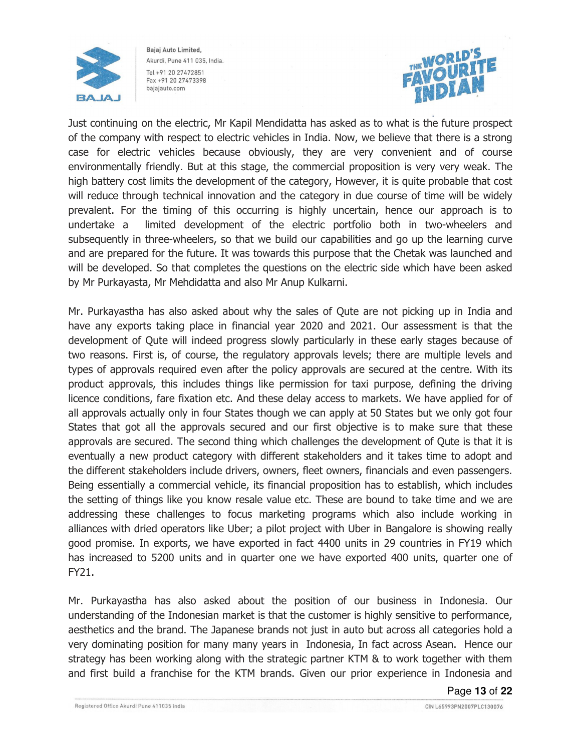



Just continuing on the electric, Mr Kapil Mendidatta has asked as to what is the future prospect of the company with respect to electric vehicles in India. Now, we believe that there is a strong case for electric vehicles because obviously, they are very convenient and of course environmentally friendly. But at this stage, the commercial proposition is very very weak. The high battery cost limits the development of the category, However, it is quite probable that cost will reduce through technical innovation and the category in due course of time will be widely prevalent. For the timing of this occurring is highly uncertain, hence our approach is to undertake a limited development of the electric portfolio both in two-wheelers and subsequently in three-wheelers, so that we build our capabilities and go up the learning curve and are prepared for the future. It was towards this purpose that the Chetak was launched and will be developed. So that completes the questions on the electric side which have been asked by Mr Purkayasta, Mr Mehdidatta and also Mr Anup Kulkarni.

Mr. Purkayastha has also asked about why the sales of Qute are not picking up in India and have any exports taking place in financial year 2020 and 2021. Our assessment is that the development of Qute will indeed progress slowly particularly in these early stages because of two reasons. First is, of course, the regulatory approvals levels; there are multiple levels and types of approvals required even after the policy approvals are secured at the centre. With its product approvals, this includes things like permission for taxi purpose, defining the driving licence conditions, fare fixation etc. And these delay access to markets. We have applied for of all approvals actually only in four States though we can apply at 50 States but we only got four States that got all the approvals secured and our first objective is to make sure that these approvals are secured. The second thing which challenges the development of Qute is that it is eventually a new product category with different stakeholders and it takes time to adopt and the different stakeholders include drivers, owners, fleet owners, financials and even passengers. Being essentially a commercial vehicle, its financial proposition has to establish, which includes the setting of things like you know resale value etc. These are bound to take time and we are addressing these challenges to focus marketing programs which also include working in alliances with dried operators like Uber; a pilot project with Uber in Bangalore is showing really good promise. In exports, we have exported in fact 4400 units in 29 countries in FY19 which has increased to 5200 units and in quarter one we have exported 400 units, quarter one of FY21.

Mr. Purkayastha has also asked about the position of our business in Indonesia. Our understanding of the Indonesian market is that the customer is highly sensitive to performance, aesthetics and the brand. The Japanese brands not just in auto but across all categories hold a very dominating position for many many years in Indonesia, In fact across Asean. Hence our strategy has been working along with the strategic partner KTM & to work together with them and first build a franchise for the KTM brands. Given our prior experience in Indonesia and

Page **13** of **22**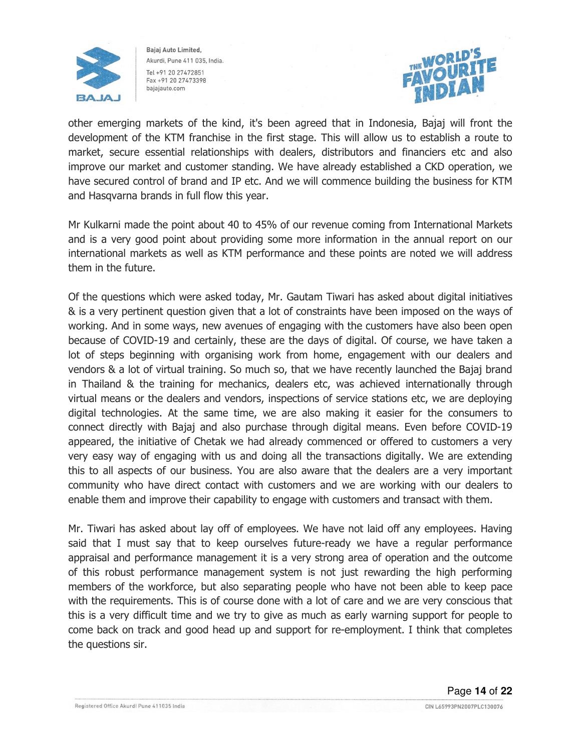



other emerging markets of the kind, it's been agreed that in Indonesia, Bajaj will front the development of the KTM franchise in the first stage. This will allow us to establish a route to market, secure essential relationships with dealers, distributors and financiers etc and also improve our market and customer standing. We have already established a CKD operation, we have secured control of brand and IP etc. And we will commence building the business for KTM and Hasqvarna brands in full flow this year.

Mr Kulkarni made the point about 40 to 45% of our revenue coming from International Markets and is a very good point about providing some more information in the annual report on our international markets as well as KTM performance and these points are noted we will address them in the future.

Of the questions which were asked today, Mr. Gautam Tiwari has asked about digital initiatives & is a very pertinent question given that a lot of constraints have been imposed on the ways of working. And in some ways, new avenues of engaging with the customers have also been open because of COVID-19 and certainly, these are the days of digital. Of course, we have taken a lot of steps beginning with organising work from home, engagement with our dealers and vendors & a lot of virtual training. So much so, that we have recently launched the Bajaj brand in Thailand & the training for mechanics, dealers etc, was achieved internationally through virtual means or the dealers and vendors, inspections of service stations etc, we are deploying digital technologies. At the same time, we are also making it easier for the consumers to connect directly with Bajaj and also purchase through digital means. Even before COVID-19 appeared, the initiative of Chetak we had already commenced or offered to customers a very very easy way of engaging with us and doing all the transactions digitally. We are extending this to all aspects of our business. You are also aware that the dealers are a very important community who have direct contact with customers and we are working with our dealers to enable them and improve their capability to engage with customers and transact with them.

Mr. Tiwari has asked about lay off of employees. We have not laid off any employees. Having said that I must say that to keep ourselves future-ready we have a regular performance appraisal and performance management it is a very strong area of operation and the outcome of this robust performance management system is not just rewarding the high performing members of the workforce, but also separating people who have not been able to keep pace with the requirements. This is of course done with a lot of care and we are very conscious that this is a very difficult time and we try to give as much as early warning support for people to come back on track and good head up and support for re-employment. I think that completes the questions sir.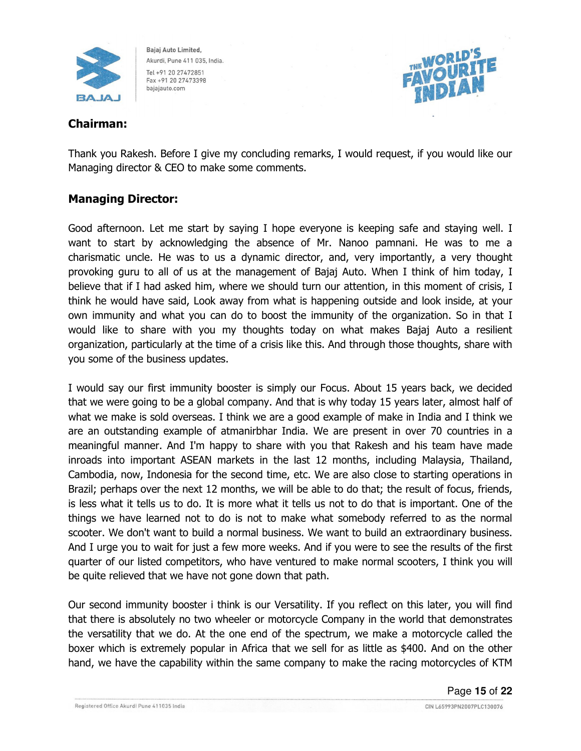



## Chairman:

Thank you Rakesh. Before I give my concluding remarks, I would request, if you would like our Managing director & CEO to make some comments.

## Managing Director:

Good afternoon. Let me start by saying I hope everyone is keeping safe and staying well. I want to start by acknowledging the absence of Mr. Nanoo pamnani. He was to me a charismatic uncle. He was to us a dynamic director, and, very importantly, a very thought provoking guru to all of us at the management of Bajaj Auto. When I think of him today, I believe that if I had asked him, where we should turn our attention, in this moment of crisis, I think he would have said, Look away from what is happening outside and look inside, at your own immunity and what you can do to boost the immunity of the organization. So in that I would like to share with you my thoughts today on what makes Bajaj Auto a resilient organization, particularly at the time of a crisis like this. And through those thoughts, share with you some of the business updates.

I would say our first immunity booster is simply our Focus. About 15 years back, we decided that we were going to be a global company. And that is why today 15 years later, almost half of what we make is sold overseas. I think we are a good example of make in India and I think we are an outstanding example of atmanirbhar India. We are present in over 70 countries in a meaningful manner. And I'm happy to share with you that Rakesh and his team have made inroads into important ASEAN markets in the last 12 months, including Malaysia, Thailand, Cambodia, now, Indonesia for the second time, etc. We are also close to starting operations in Brazil; perhaps over the next 12 months, we will be able to do that; the result of focus, friends, is less what it tells us to do. It is more what it tells us not to do that is important. One of the things we have learned not to do is not to make what somebody referred to as the normal scooter. We don't want to build a normal business. We want to build an extraordinary business. And I urge you to wait for just a few more weeks. And if you were to see the results of the first quarter of our listed competitors, who have ventured to make normal scooters, I think you will be quite relieved that we have not gone down that path.

Our second immunity booster i think is our Versatility. If you reflect on this later, you will find that there is absolutely no two wheeler or motorcycle Company in the world that demonstrates the versatility that we do. At the one end of the spectrum, we make a motorcycle called the boxer which is extremely popular in Africa that we sell for as little as \$400. And on the other hand, we have the capability within the same company to make the racing motorcycles of KTM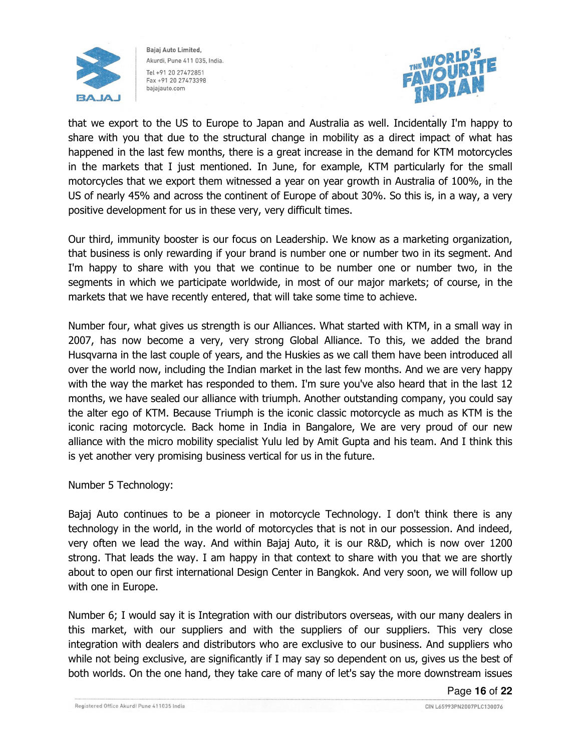



that we export to the US to Europe to Japan and Australia as well. Incidentally I'm happy to share with you that due to the structural change in mobility as a direct impact of what has happened in the last few months, there is a great increase in the demand for KTM motorcycles in the markets that I just mentioned. In June, for example, KTM particularly for the small motorcycles that we export them witnessed a year on year growth in Australia of 100%, in the US of nearly 45% and across the continent of Europe of about 30%. So this is, in a way, a very positive development for us in these very, very difficult times.

Our third, immunity booster is our focus on Leadership. We know as a marketing organization, that business is only rewarding if your brand is number one or number two in its segment. And I'm happy to share with you that we continue to be number one or number two, in the segments in which we participate worldwide, in most of our major markets; of course, in the markets that we have recently entered, that will take some time to achieve.

Number four, what gives us strength is our Alliances. What started with KTM, in a small way in 2007, has now become a very, very strong Global Alliance. To this, we added the brand Husqvarna in the last couple of years, and the Huskies as we call them have been introduced all over the world now, including the Indian market in the last few months. And we are very happy with the way the market has responded to them. I'm sure you've also heard that in the last 12 months, we have sealed our alliance with triumph. Another outstanding company, you could say the alter ego of KTM. Because Triumph is the iconic classic motorcycle as much as KTM is the iconic racing motorcycle. Back home in India in Bangalore, We are very proud of our new alliance with the micro mobility specialist Yulu led by Amit Gupta and his team. And I think this is yet another very promising business vertical for us in the future.

Number 5 Technology:

Bajaj Auto continues to be a pioneer in motorcycle Technology. I don't think there is any technology in the world, in the world of motorcycles that is not in our possession. And indeed, very often we lead the way. And within Bajaj Auto, it is our R&D, which is now over 1200 strong. That leads the way. I am happy in that context to share with you that we are shortly about to open our first international Design Center in Bangkok. And very soon, we will follow up with one in Europe.

Number 6; I would say it is Integration with our distributors overseas, with our many dealers in this market, with our suppliers and with the suppliers of our suppliers. This very close integration with dealers and distributors who are exclusive to our business. And suppliers who while not being exclusive, are significantly if I may say so dependent on us, gives us the best of both worlds. On the one hand, they take care of many of let's say the more downstream issues

Page **16** of **22**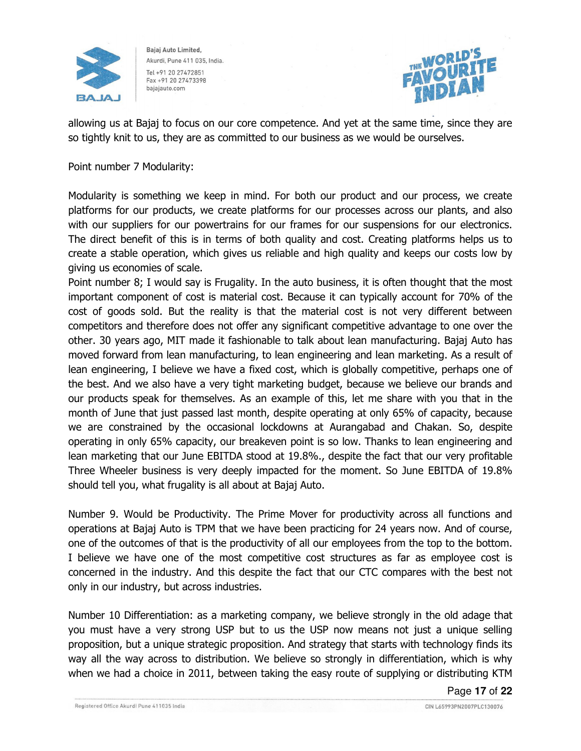



allowing us at Bajaj to focus on our core competence. And yet at the same time, since they are so tightly knit to us, they are as committed to our business as we would be ourselves.

Point number 7 Modularity:

Modularity is something we keep in mind. For both our product and our process, we create platforms for our products, we create platforms for our processes across our plants, and also with our suppliers for our powertrains for our frames for our suspensions for our electronics. The direct benefit of this is in terms of both quality and cost. Creating platforms helps us to create a stable operation, which gives us reliable and high quality and keeps our costs low by giving us economies of scale.

Point number 8; I would say is Frugality. In the auto business, it is often thought that the most important component of cost is material cost. Because it can typically account for 70% of the cost of goods sold. But the reality is that the material cost is not very different between competitors and therefore does not offer any significant competitive advantage to one over the other. 30 years ago, MIT made it fashionable to talk about lean manufacturing. Bajaj Auto has moved forward from lean manufacturing, to lean engineering and lean marketing. As a result of lean engineering, I believe we have a fixed cost, which is globally competitive, perhaps one of the best. And we also have a very tight marketing budget, because we believe our brands and our products speak for themselves. As an example of this, let me share with you that in the month of June that just passed last month, despite operating at only 65% of capacity, because we are constrained by the occasional lockdowns at Aurangabad and Chakan. So, despite operating in only 65% capacity, our breakeven point is so low. Thanks to lean engineering and lean marketing that our June EBITDA stood at 19.8%., despite the fact that our very profitable Three Wheeler business is very deeply impacted for the moment. So June EBITDA of 19.8% should tell you, what frugality is all about at Bajaj Auto.

Number 9. Would be Productivity. The Prime Mover for productivity across all functions and operations at Bajaj Auto is TPM that we have been practicing for 24 years now. And of course, one of the outcomes of that is the productivity of all our employees from the top to the bottom. I believe we have one of the most competitive cost structures as far as employee cost is concerned in the industry. And this despite the fact that our CTC compares with the best not only in our industry, but across industries.

Number 10 Differentiation: as a marketing company, we believe strongly in the old adage that you must have a very strong USP but to us the USP now means not just a unique selling proposition, but a unique strategic proposition. And strategy that starts with technology finds its way all the way across to distribution. We believe so strongly in differentiation, which is why when we had a choice in 2011, between taking the easy route of supplying or distributing KTM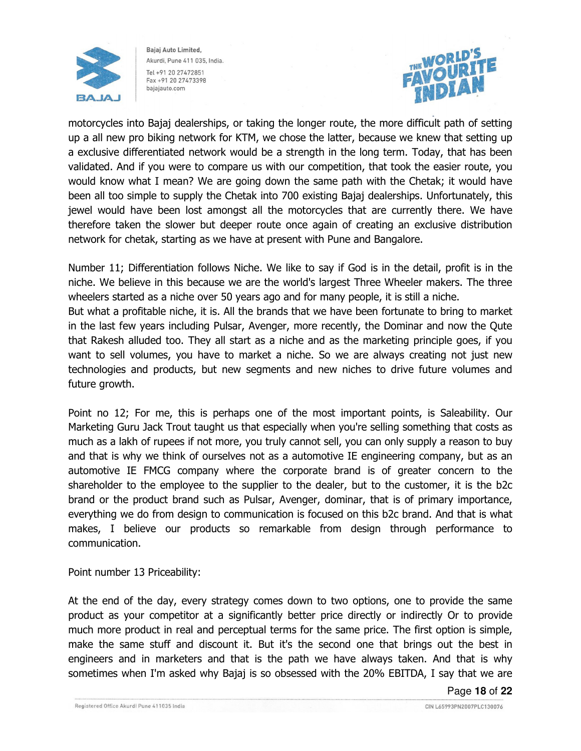



motorcycles into Bajaj dealerships, or taking the longer route, the more difficult path of setting up a all new pro biking network for KTM, we chose the latter, because we knew that setting up a exclusive differentiated network would be a strength in the long term. Today, that has been validated. And if you were to compare us with our competition, that took the easier route, you would know what I mean? We are going down the same path with the Chetak; it would have been all too simple to supply the Chetak into 700 existing Bajaj dealerships. Unfortunately, this jewel would have been lost amongst all the motorcycles that are currently there. We have therefore taken the slower but deeper route once again of creating an exclusive distribution network for chetak, starting as we have at present with Pune and Bangalore.

Number 11; Differentiation follows Niche. We like to say if God is in the detail, profit is in the niche. We believe in this because we are the world's largest Three Wheeler makers. The three wheelers started as a niche over 50 years ago and for many people, it is still a niche.

But what a profitable niche, it is. All the brands that we have been fortunate to bring to market in the last few years including Pulsar, Avenger, more recently, the Dominar and now the Qute that Rakesh alluded too. They all start as a niche and as the marketing principle goes, if you want to sell volumes, you have to market a niche. So we are always creating not just new technologies and products, but new segments and new niches to drive future volumes and future growth.

Point no 12; For me, this is perhaps one of the most important points, is Saleability. Our Marketing Guru Jack Trout taught us that especially when you're selling something that costs as much as a lakh of rupees if not more, you truly cannot sell, you can only supply a reason to buy and that is why we think of ourselves not as a automotive IE engineering company, but as an automotive IE FMCG company where the corporate brand is of greater concern to the shareholder to the employee to the supplier to the dealer, but to the customer, it is the b2c brand or the product brand such as Pulsar, Avenger, dominar, that is of primary importance, everything we do from design to communication is focused on this b2c brand. And that is what makes, I believe our products so remarkable from design through performance to communication.

Point number 13 Priceability:

At the end of the day, every strategy comes down to two options, one to provide the same product as your competitor at a significantly better price directly or indirectly Or to provide much more product in real and perceptual terms for the same price. The first option is simple, make the same stuff and discount it. But it's the second one that brings out the best in engineers and in marketers and that is the path we have always taken. And that is why sometimes when I'm asked why Bajaj is so obsessed with the 20% EBITDA, I say that we are

Page **18** of **22**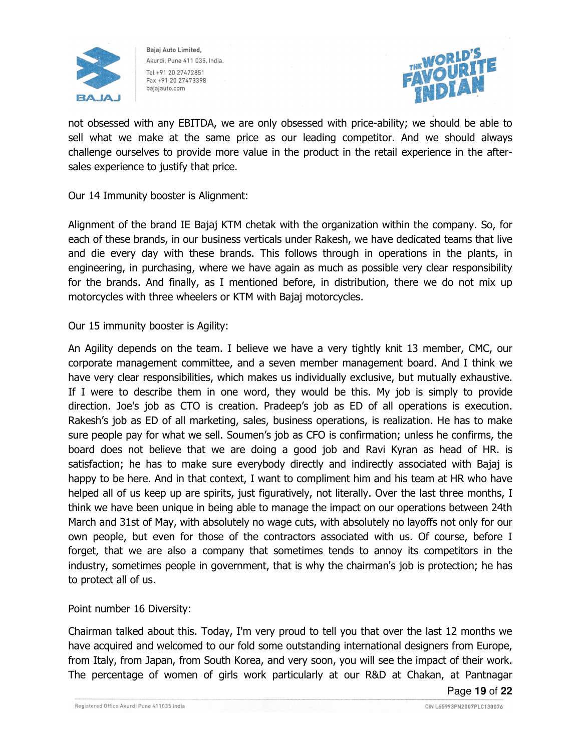



not obsessed with any EBITDA, we are only obsessed with price-ability; we should be able to sell what we make at the same price as our leading competitor. And we should always challenge ourselves to provide more value in the product in the retail experience in the aftersales experience to justify that price.

Our 14 Immunity booster is Alignment:

Alignment of the brand IE Bajaj KTM chetak with the organization within the company. So, for each of these brands, in our business verticals under Rakesh, we have dedicated teams that live and die every day with these brands. This follows through in operations in the plants, in engineering, in purchasing, where we have again as much as possible very clear responsibility for the brands. And finally, as I mentioned before, in distribution, there we do not mix up motorcycles with three wheelers or KTM with Bajaj motorcycles.

Our 15 immunity booster is Agility:

An Agility depends on the team. I believe we have a very tightly knit 13 member, CMC, our corporate management committee, and a seven member management board. And I think we have very clear responsibilities, which makes us individually exclusive, but mutually exhaustive. If I were to describe them in one word, they would be this. My job is simply to provide direction. Joe's job as CTO is creation. Pradeep's job as ED of all operations is execution. Rakesh's job as ED of all marketing, sales, business operations, is realization. He has to make sure people pay for what we sell. Soumen's job as CFO is confirmation; unless he confirms, the board does not believe that we are doing a good job and Ravi Kyran as head of HR. is satisfaction; he has to make sure everybody directly and indirectly associated with Bajaj is happy to be here. And in that context, I want to compliment him and his team at HR who have helped all of us keep up are spirits, just figuratively, not literally. Over the last three months, I think we have been unique in being able to manage the impact on our operations between 24th March and 31st of May, with absolutely no wage cuts, with absolutely no layoffs not only for our own people, but even for those of the contractors associated with us. Of course, before I forget, that we are also a company that sometimes tends to annoy its competitors in the industry, sometimes people in government, that is why the chairman's job is protection; he has to protect all of us.

Point number 16 Diversity:

Chairman talked about this. Today, I'm very proud to tell you that over the last 12 months we have acquired and welcomed to our fold some outstanding international designers from Europe, from Italy, from Japan, from South Korea, and very soon, you will see the impact of their work. The percentage of women of girls work particularly at our R&D at Chakan, at Pantnagar

Page **19** of **22**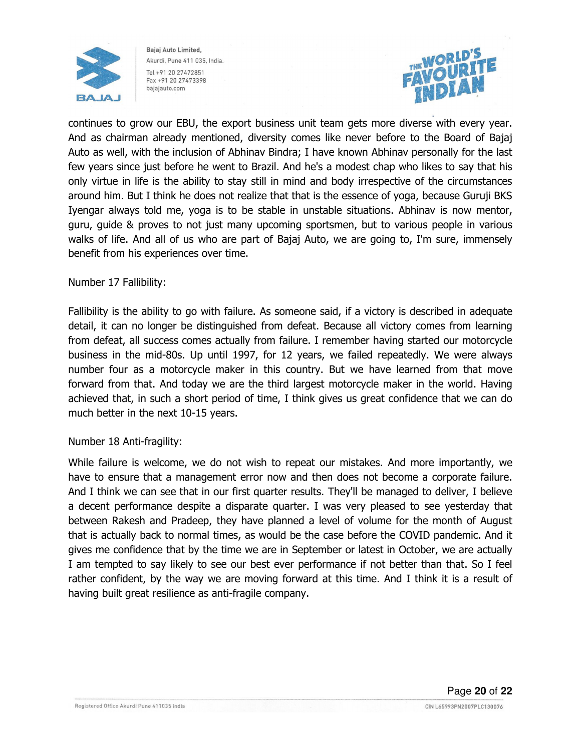



continues to grow our EBU, the export business unit team gets more diverse with every year. And as chairman already mentioned, diversity comes like never before to the Board of Bajaj Auto as well, with the inclusion of Abhinav Bindra; I have known Abhinav personally for the last few years since just before he went to Brazil. And he's a modest chap who likes to say that his only virtue in life is the ability to stay still in mind and body irrespective of the circumstances around him. But I think he does not realize that that is the essence of yoga, because Guruji BKS Iyengar always told me, yoga is to be stable in unstable situations. Abhinav is now mentor, guru, guide & proves to not just many upcoming sportsmen, but to various people in various walks of life. And all of us who are part of Bajaj Auto, we are going to, I'm sure, immensely benefit from his experiences over time.

#### Number 17 Fallibility:

Fallibility is the ability to go with failure. As someone said, if a victory is described in adequate detail, it can no longer be distinguished from defeat. Because all victory comes from learning from defeat, all success comes actually from failure. I remember having started our motorcycle business in the mid-80s. Up until 1997, for 12 years, we failed repeatedly. We were always number four as a motorcycle maker in this country. But we have learned from that move forward from that. And today we are the third largest motorcycle maker in the world. Having achieved that, in such a short period of time, I think gives us great confidence that we can do much better in the next 10-15 years.

#### Number 18 Anti-fragility:

While failure is welcome, we do not wish to repeat our mistakes. And more importantly, we have to ensure that a management error now and then does not become a corporate failure. And I think we can see that in our first quarter results. They'll be managed to deliver, I believe a decent performance despite a disparate quarter. I was very pleased to see yesterday that between Rakesh and Pradeep, they have planned a level of volume for the month of August that is actually back to normal times, as would be the case before the COVID pandemic. And it gives me confidence that by the time we are in September or latest in October, we are actually I am tempted to say likely to see our best ever performance if not better than that. So I feel rather confident, by the way we are moving forward at this time. And I think it is a result of having built great resilience as anti-fragile company.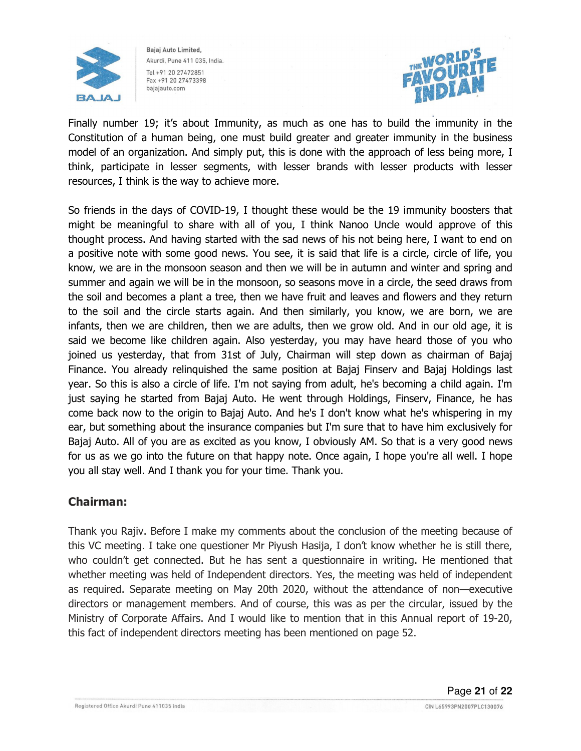



Finally number 19; it's about Immunity, as much as one has to build the immunity in the Constitution of a human being, one must build greater and greater immunity in the business model of an organization. And simply put, this is done with the approach of less being more, I think, participate in lesser segments, with lesser brands with lesser products with lesser resources, I think is the way to achieve more.

So friends in the days of COVID-19, I thought these would be the 19 immunity boosters that might be meaningful to share with all of you, I think Nanoo Uncle would approve of this thought process. And having started with the sad news of his not being here, I want to end on a positive note with some good news. You see, it is said that life is a circle, circle of life, you know, we are in the monsoon season and then we will be in autumn and winter and spring and summer and again we will be in the monsoon, so seasons move in a circle, the seed draws from the soil and becomes a plant a tree, then we have fruit and leaves and flowers and they return to the soil and the circle starts again. And then similarly, you know, we are born, we are infants, then we are children, then we are adults, then we grow old. And in our old age, it is said we become like children again. Also yesterday, you may have heard those of you who joined us yesterday, that from 31st of July, Chairman will step down as chairman of Bajaj Finance. You already relinquished the same position at Bajaj Finserv and Bajaj Holdings last year. So this is also a circle of life. I'm not saying from adult, he's becoming a child again. I'm just saying he started from Bajaj Auto. He went through Holdings, Finserv, Finance, he has come back now to the origin to Bajaj Auto. And he's I don't know what he's whispering in my ear, but something about the insurance companies but I'm sure that to have him exclusively for Bajaj Auto. All of you are as excited as you know, I obviously AM. So that is a very good news for us as we go into the future on that happy note. Once again, I hope you're all well. I hope you all stay well. And I thank you for your time. Thank you.

## Chairman:

Thank you Rajiv. Before I make my comments about the conclusion of the meeting because of this VC meeting. I take one questioner Mr Piyush Hasija, I don't know whether he is still there, who couldn't get connected. But he has sent a questionnaire in writing. He mentioned that whether meeting was held of Independent directors. Yes, the meeting was held of independent as required. Separate meeting on May 20th 2020, without the attendance of non—executive directors or management members. And of course, this was as per the circular, issued by the Ministry of Corporate Affairs. And I would like to mention that in this Annual report of 19-20, this fact of independent directors meeting has been mentioned on page 52.

Page **21** of **22**